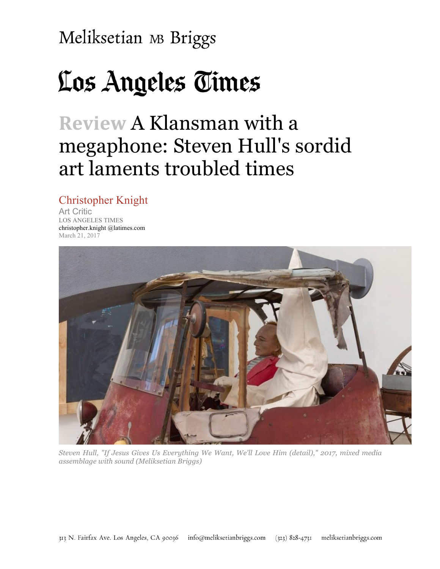# Los Angeles Times

## **Review** A Klansman with a megaphone: Steven Hull's sordid art laments troubled times

Christopher Knight Art Critic LOS ANGELES TIMES christopher.knight @latimes.com March 21, 2017



*Steven Hull, "If Jesus Gives Us Everything We Want, We'll Love Him (detail)," 2017, mixed media assemblage with sound (Meliksetian Briggs)*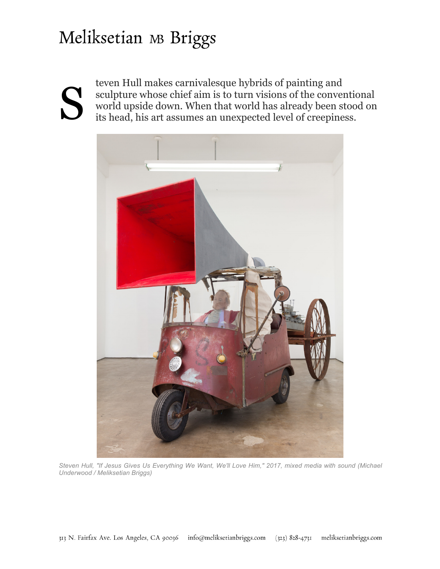teven Hull makes carnivalesque hybrids of painting and sculpture whose chief aim is to turn visions of the convention world upside down. When that world has already been stock its head, his art assumes an unexpected level sculpture whose chief aim is to turn visions of the conventional world upside down. When that world has already been stood on



*Steven Hull, "If Jesus Gives Us Everything We Want, We'll Love Him," 2017, mixed media with sound (Michael Underwood / Meliksetian Briggs)*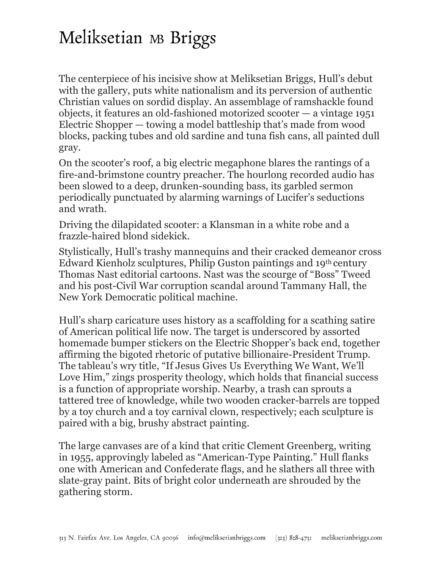The centerpiece of his incisive show at Meliksetian Briggs, Hull's debut with the gallery, puts white nationalism and its perversion of authentic Christian values on sordid display. An assemblage of ramshackle found objects, it features an old-fashioned motorized scooter — a vintage 1951 Electric Shopper — towing a model battleship that's made from wood blocks, packing tubes and old sardine and tuna fish cans, all painted dull gray.

On the scooter's roof, a big electric megaphone blares the rantings of a fire-and-brimstone country preacher. The hourlong recorded audio has been slowed to a deep, drunken-sounding bass, its garbled sermon periodically punctuated by alarming warnings of Lucifer's seductions and wrath.

Driving the dilapidated scooter: a Klansman in a white robe and a frazzle-haired blond sidekick.

Stylistically, Hull's trashy mannequins and their cracked demeanor cross Edward Kienholz sculptures, Philip Guston paintings and 19th century Thomas Nast editorial cartoons. Nast was the scourge of "Boss" Tweed and his post-Civil War corruption scandal around Tammany Hall, the New York Democratic political machine.

Hull's sharp caricature uses history as a scaffolding for a scathing satire of American political life now. The target is underscored by assorted homemade bumper stickers on the Electric Shopper's back end, together affirming the bigoted rhetoric of putative billionaire-President Trump. The tableau's wry title, "If Jesus Gives Us Everything We Want, We'll Love Him," zings prosperity theology, which holds that financial success is a function of appropriate worship. Nearby, a trash can sprouts a tattered tree of knowledge, while two wooden cracker-barrels are topped by a toy church and a toy carnival clown, respectively; each sculpture is paired with a big, brushy abstract painting.

The large canvases are of a kind that critic Clement Greenberg, writing in 1955, approvingly labeled as "American-Type Painting." Hull flanks one with American and Confederate flags, and he slathers all three with slate-gray paint. Bits of bright color underneath are shrouded by the gathering storm.